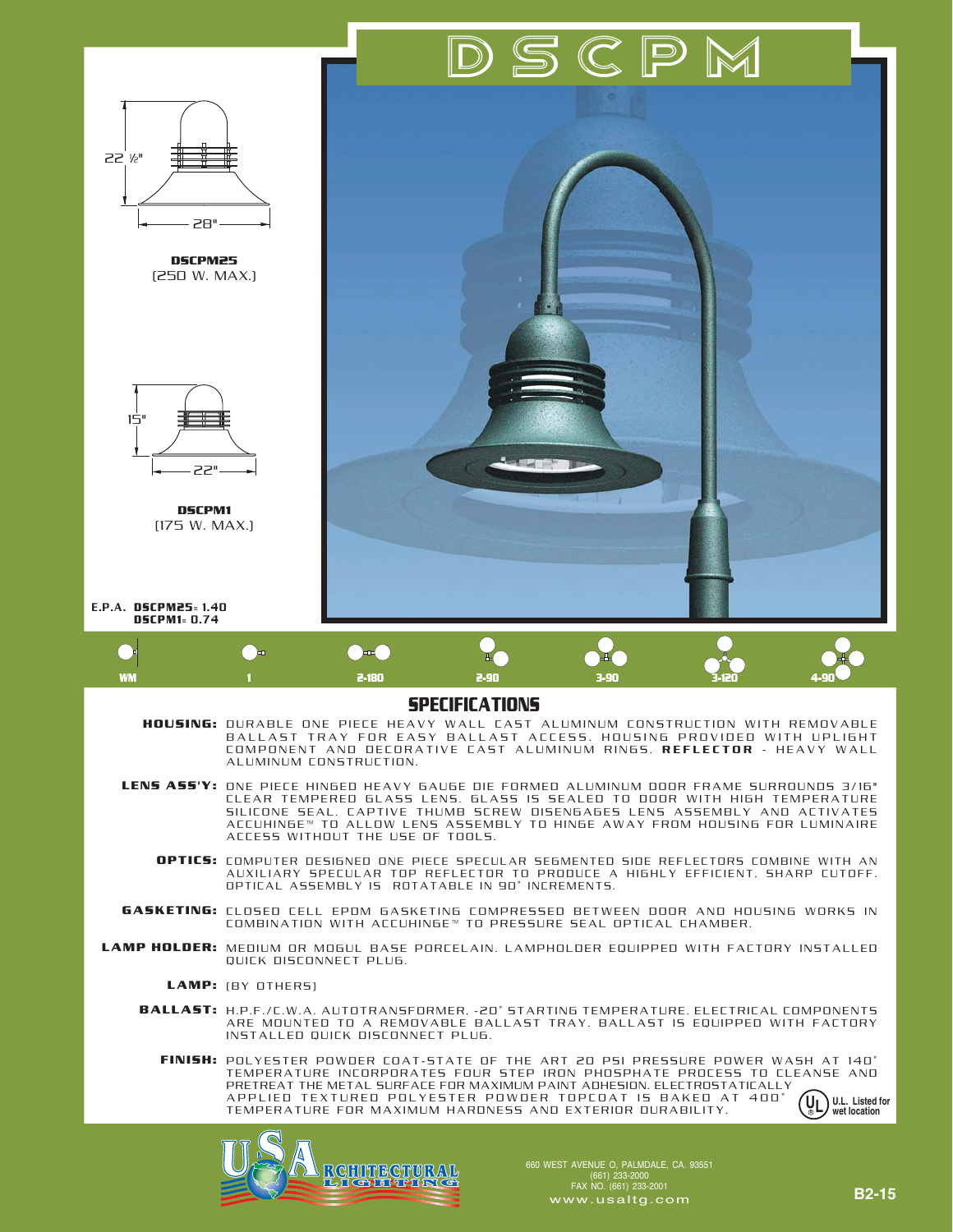

APPLIED TEXTURED POLYESTER POWDER TOPCOAT IS BAKED AT 400˚ TEMPERATURE FOR MAXIMUM HARDNESS AND EXTERIOR DURABILITY.





660 WEST AVENUE O, PALMDALE, CA. 93551 (661) 233-2000 FAX NO. (661) 233-2001 www.usaltg.com